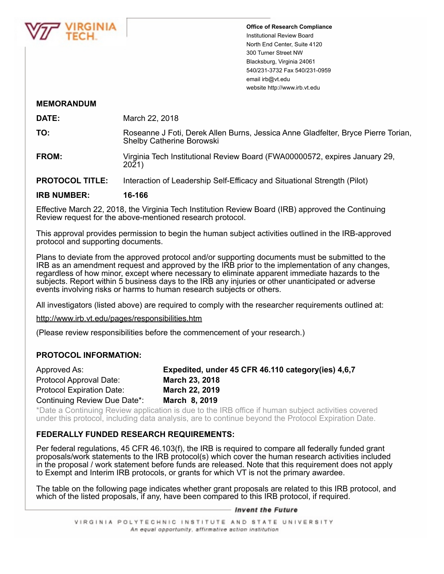

**Office of Research Compliance** Institutional Review Board North End Center, Suite 4120 300 Turner Street NW Blacksburg, Virginia 24061 540/231-3732 Fax 540/231-0959 email irb@vt.edu website http://www.irb.vt.edu

## **MEMORANDUM**

**DATE:** March 22, 2018

**TO:** Roseanne J Foti, Derek Allen Burns, Jessica Anne Gladfelter, Bryce Pierre Torian, Shelby Catherine Borowski

**FROM:** Virginia Tech Institutional Review Board (FWA00000572, expires January 29, 2021)

**PROTOCOL TITLE:** Interaction of Leadership Self-Efficacy and Situational Strength (Pilot)

### **IRB NUMBER: 16-166**

Effective March 22, 2018, the Virginia Tech Institution Review Board (IRB) approved the Continuing Review request for the above-mentioned research protocol.

This approval provides permission to begin the human subject activities outlined in the IRB-approved protocol and supporting documents.

Plans to deviate from the approved protocol and/or supporting documents must be submitted to the IRB as an amendment request and approved by the IRB prior to the implementation of any changes, regardless of how minor, except where necessary to eliminate apparent immediate hazards to the subjects. Report within 5 business days to the IRB any injuries or other unanticipated or adverse events involving risks or harms to human research subjects or others.

All investigators (listed above) are required to comply with the researcher requirements outlined at:

http://www.irb.vt.edu/pages/responsibilities.htm

(Please review responsibilities before the commencement of your research.)

### **PROTOCOL INFORMATION:**

| Approved As:                     | Expedited, under 45 CFR 46.110 category (ies) 4,6,7 |
|----------------------------------|-----------------------------------------------------|
| Protocol Approval Date:          | <b>March 23, 2018</b>                               |
| <b>Protocol Expiration Date:</b> | <b>March 22, 2019</b>                               |
| Continuing Review Due Date*:     | March 8, 2019                                       |

\*Date a Continuing Review application is due to the IRB office if human subject activities covered under this protocol, including data analysis, are to continue beyond the Protocol Expiration Date.

# **FEDERALLY FUNDED RESEARCH REQUIREMENTS:**

Per federal regulations, 45 CFR 46.103(f), the IRB is required to compare all federally funded grant proposals/work statements to the IRB protocol(s) which cover the human research activities included in the proposal / work statement before funds are released. Note that this requirement does not apply to Exempt and Interim IRB protocols, or grants for which VT is not the primary awardee.

The table on the following page indicates whether grant proposals are related to this IRB protocol, and which of the listed proposals, if any, have been compared to this IRB protocol, if required.

#### — Invent the Future